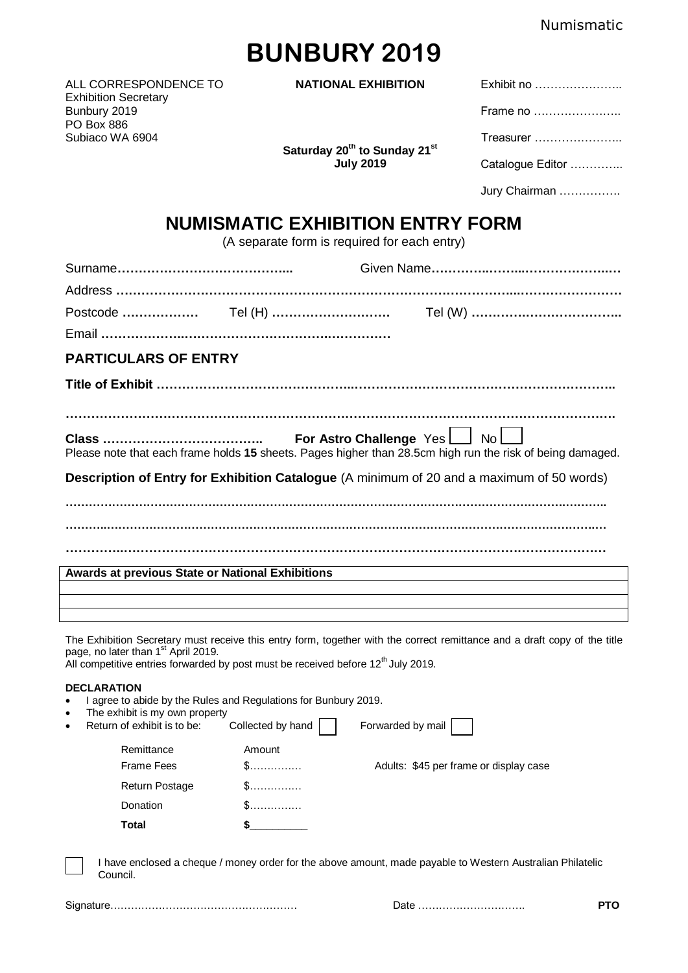# **BUNBURY 2019**

ALL CORRESPONDENCE TO **NATIONAL EXHIBITION** Exhibit Exhibition Secretary Bunbury 2019 PO Box 886 Subiaco WA 6904

**Saturday 20th to Sunday 21st**

| NAL EXHIBITION                                                  | Exhibit no       |
|-----------------------------------------------------------------|------------------|
| 20 <sup>th</sup> to Sunday 21 <sup>st</sup><br><b>July 2019</b> | Frame no         |
|                                                                 | Treasurer        |
|                                                                 | Catalogue Editor |
|                                                                 | Jury Chairman    |

## **NUMISMATIC EXHIBITION ENTRY FORM**

(A separate form is required for each entry)

| <b>PARTICULARS OF ENTRY</b>                                                               |  |                                                                                                           |  |
|-------------------------------------------------------------------------------------------|--|-----------------------------------------------------------------------------------------------------------|--|
|                                                                                           |  |                                                                                                           |  |
|                                                                                           |  |                                                                                                           |  |
|                                                                                           |  | Please note that each frame holds 15 sheets. Pages higher than 28.5cm high run the risk of being damaged. |  |
| Description of Entry for Exhibition Catalogue (A minimum of 20 and a maximum of 50 words) |  |                                                                                                           |  |
|                                                                                           |  |                                                                                                           |  |
|                                                                                           |  |                                                                                                           |  |
|                                                                                           |  |                                                                                                           |  |
| <b>Awards at previous State or National Exhibitions</b>                                   |  |                                                                                                           |  |
|                                                                                           |  |                                                                                                           |  |
|                                                                                           |  |                                                                                                           |  |
|                                                                                           |  |                                                                                                           |  |

The Exhibition Secretary must receive this entry form, together with the correct remittance and a draft copy of the title page, no later than 1<sup>st</sup> April 2019.

All competitive entries forwarded by post must be received before 12<sup>th</sup> July 2019.

#### **DECLARATION**

- I agree to abide by the Rules and Regulations for Bunbury 2019.
- The exhibit is my own property

|           | Total                       |                   |                                        |
|-----------|-----------------------------|-------------------|----------------------------------------|
|           | Donation                    | \$.               |                                        |
|           | Return Postage              | \$……………           |                                        |
|           | <b>Frame Fees</b>           | \$.               | Adults: \$45 per frame or display case |
|           | Remittance                  | Amount            |                                        |
| $\bullet$ | Return of exhibit is to be: | Collected by hand | Forwarded by mail                      |

I have enclosed a cheque / money order for the above amount, made payable to Western Australian Philatelic Council.

|--|

Signature……………………………………………… Date …………………………. **PTO**